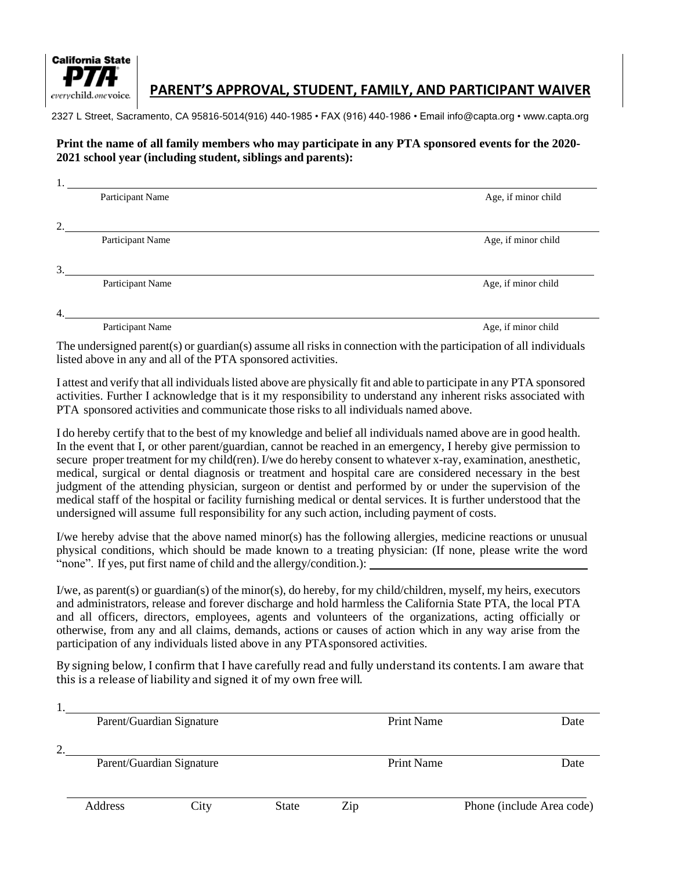

## **PARENT'S APPROVAL, STUDENT, FAMILY, AND PARTICIPANT WAIVER**

2327 L Street, Sacramento, CA 95816-5014(916) 440-1985 • FAX (916) 440-1986 • Email [info@capta.org](mailto:info@capta.org) • [www.capta.org](http://www.capta.org/)

## **Print the name of all family members who may participate in any PTA sponsored events for the 2020- 2021 school year (including student, siblings and parents):**

|    | Participant Name | Age, if minor child |
|----|------------------|---------------------|
|    |                  |                     |
| 2. |                  |                     |
|    | Participant Name | Age, if minor child |
|    |                  |                     |
| 3. |                  |                     |
|    | Participant Name | Age, if minor child |
|    |                  |                     |
| 4. |                  |                     |
|    |                  |                     |

Participant Name Age, if minor child

The undersigned parent(s) or guardian(s) assume all risks in connection with the participation of all individuals listed above in any and all of the PTA sponsored activities.

I attest and verify that all individualslisted above are physically fit and able to participate in any PTA sponsored activities. Further I acknowledge that is it my responsibility to understand any inherent risks associated with PTA sponsored activities and communicate those risks to all individuals named above.

I do hereby certify that to the best of my knowledge and belief all individuals named above are in good health. In the event that I, or other parent/guardian, cannot be reached in an emergency, I hereby give permission to secure proper treatment for my child(ren). I/we do hereby consent to whatever x-ray, examination, anesthetic, medical, surgical or dental diagnosis or treatment and hospital care are considered necessary in the best judgment of the attending physician, surgeon or dentist and performed by or under the supervision of the medical staff of the hospital or facility furnishing medical or dental services. It is further understood that the undersigned will assume full responsibility for any such action, including payment of costs.

I/we hereby advise that the above named minor(s) has the following allergies, medicine reactions or unusual physical conditions, which should be made known to a treating physician: (If none, please write the word "none". If yes, put first name of child and the allergy/condition.):

I/we, as parent(s) or guardian(s) of the minor(s), do hereby, for my child/children, myself, my heirs, executors and administrators, release and forever discharge and hold harmless the California State PTA, the local PTA and all officers, directors, employees, agents and volunteers of the organizations, acting officially or otherwise, from any and all claims, demands, actions or causes of action which in any way arise from the participation of any individuals listed above in any PTAsponsored activities.

By signing below, I confirm that I have carefully read and fully understand its contents. I am aware that this is a release of liability and signed it of my own free will.

|         |                           | Parent/Guardian Signature |              |                   | <b>Print Name</b> | Date                      |
|---------|---------------------------|---------------------------|--------------|-------------------|-------------------|---------------------------|
| ↑<br>۷. |                           |                           |              |                   |                   |                           |
|         | Parent/Guardian Signature |                           |              | <b>Print Name</b> |                   | Date                      |
|         |                           |                           |              |                   |                   |                           |
|         | Address                   | City                      | <b>State</b> | Zip               |                   | Phone (include Area code) |